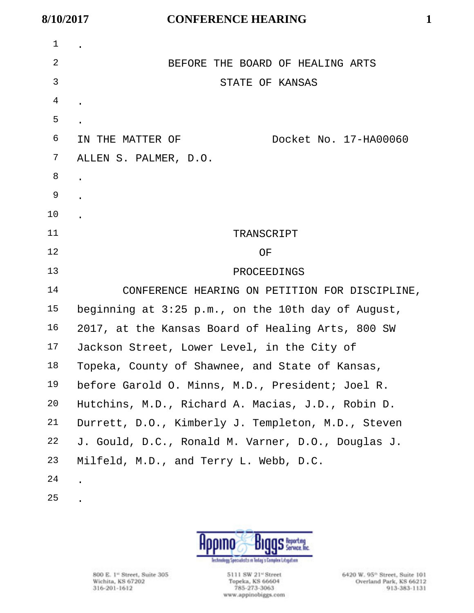| 1              |                                                    |
|----------------|----------------------------------------------------|
| 2              | BEFORE THE BOARD OF HEALING ARTS                   |
| 3              | STATE OF KANSAS                                    |
| $\overline{4}$ |                                                    |
| 5              |                                                    |
| 6              | Docket No. 17-HA00060<br>IN THE MATTER OF          |
| 7              | ALLEN S. PALMER, D.O.                              |
| 8              |                                                    |
| 9              |                                                    |
| $10 \,$        |                                                    |
| 11             | TRANSCRIPT                                         |
| 12             | ΟF                                                 |
| 13             | PROCEEDINGS                                        |
| 14             | CONFERENCE HEARING ON PETITION FOR DISCIPLINE,     |
| 15             | beginning at 3:25 p.m., on the 10th day of August, |
| 16             | 2017, at the Kansas Board of Healing Arts, 800 SW  |
| 17             | Jackson Street, Lower Level, in the City of        |
| 18             | Topeka, County of Shawnee, and State of Kansas,    |
| 19             | before Garold O. Minns, M.D., President; Joel R    |
| 20             | Hutchins, M.D., Richard A. Macias, J.D., Robin D.  |
| 21             | Durrett, D.O., Kimberly J. Templeton, M.D., Steven |
| 22             | J. Gould, D.C., Ronald M. Varner, D.O., Douglas J. |
| 23             | Milfeld, M.D., and Terry L. Webb, D.C.             |
| 24             |                                                    |
| 25             |                                                    |

**BIGGS** Service Inc. Hppino lechnology Specialists in Today's Complex Litigation

800 E. 1<sup>w</sup> Street, Suite 305<br>Wichita, KS 67202<br>316-201-1612

5111 SW 21" Street<br>Topeka, KS 66604<br>785-273-3063 www.appinobiggs.com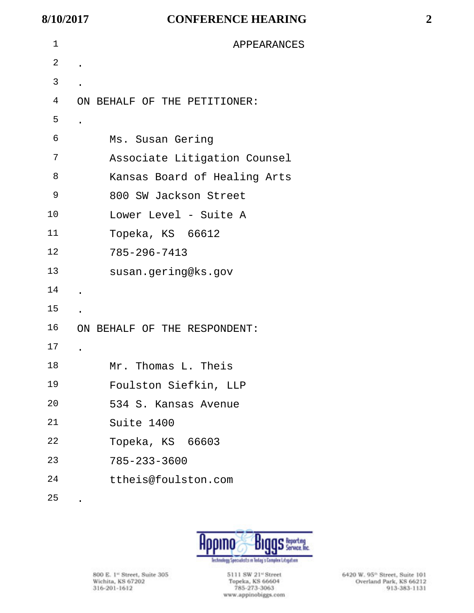| 1  | APPEARANCES                  |
|----|------------------------------|
| 2  |                              |
| 3  |                              |
| 4  | ON BEHALF OF THE PETITIONER: |
| 5  |                              |
| 6  | Ms. Susan Gering             |
| 7  | Associate Litigation Counsel |
| 8  | Kansas Board of Healing Arts |
| 9  | 800 SW Jackson Street        |
| 10 | Lower Level - Suite A        |
| 11 | Topeka, KS 66612             |
| 12 | 785-296-7413                 |
| 13 | susan.gering@ks.gov          |
| 14 |                              |
| 15 |                              |
| 16 | ON BEHALF OF THE RESPONDENT: |
| 17 |                              |
| 18 | Mr. Thomas L. Theis          |
| 19 | Foulston Siefkin, LLP        |
| 20 | 534 S. Kansas Avenue         |
| 21 | Suite 1400                   |
| 22 | Topeka, KS 66603             |
| 23 | $785 - 233 - 3600$           |
| 24 | ttheis@foulston.com          |
| 25 |                              |



800 E. 1<sup>w</sup> Street, Suite 305<br>Wichita, KS 67202<br>316-201-1612

5111 SW 21" Street<br>Topeka, KS 66604<br>785-273-3063 www.appinobiggs.com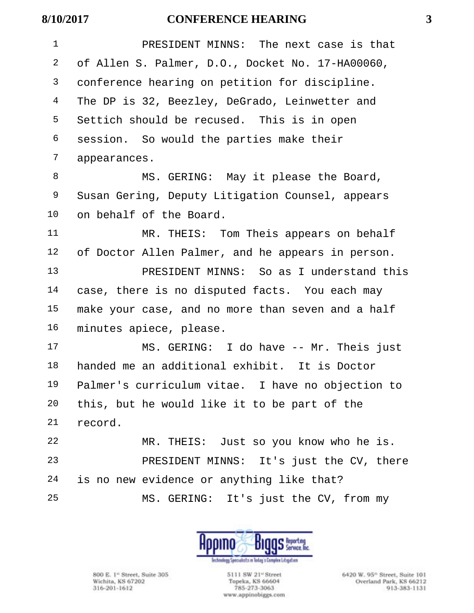| 8/10/2017    | <b>CONFERENCE HEARING</b>                         | 3 |
|--------------|---------------------------------------------------|---|
| $\mathbf{1}$ | PRESIDENT MINNS: The next case is that            |   |
| 2            | of Allen S. Palmer, D.O., Docket No. 17-HA00060,  |   |
| 3            | conference hearing on petition for discipline.    |   |
| 4            | The DP is 32, Beezley, DeGrado, Leinwetter and    |   |
| 5            | Settich should be recused. This is in open        |   |
| 6            | session. So would the parties make their          |   |
| 7            | appearances.                                      |   |
| 8            | MS. GERING: May it please the Board,              |   |
| 9            | Susan Gering, Deputy Litigation Counsel, appears  |   |
| 10           | on behalf of the Board.                           |   |
| 11           | MR. THEIS: Tom Theis appears on behalf            |   |
| 12           | of Doctor Allen Palmer, and he appears in person. |   |
| 13           | PRESIDENT MINNS: So as I understand this          |   |
| 14           | case, there is no disputed facts. You each may    |   |
| 15           | make your case, and no more than seven and a half |   |
| 16           | minutes apiece, please.                           |   |
| 17           | MS. GERING: I do have -- Mr. Theis just           |   |
| 18           | handed me an additional exhibit. It is Doctor     |   |
| 19           | Palmer's curriculum vitae. I have no objection to |   |
| 20           | this, but he would like it to be part of the      |   |
| 21           | record.                                           |   |
| 22           | MR. THEIS: Just so you know who he is.            |   |
| 23           | PRESIDENT MINNS: It's just the CV, there          |   |
| 24           | is no new evidence or anything like that?         |   |

S Reporting UIIIU DIUl Technology Specialists in Today's Complex Librarien

MS. GERING: It's just the CV, from my

800 E. 1<sup>e</sup> Street, Suite 305 Wichita, KS 67202 316-201-1612

5111 SW 21<sup>-1</sup> Street Topeka, KS 66604 785-273-3063 www.appinobiggs.com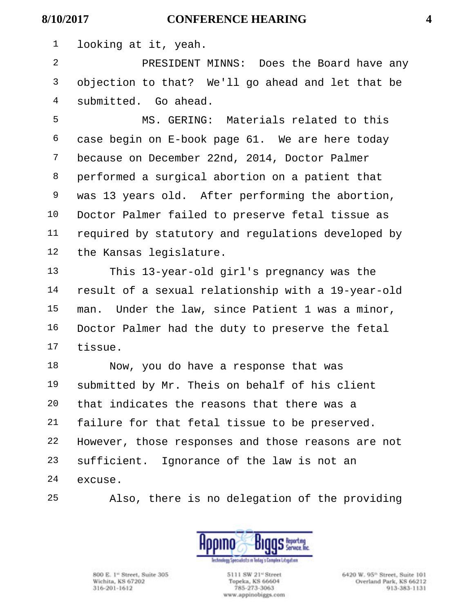looking at it, yeah.

 PRESIDENT MINNS: Does the Board have any objection to that? We'll go ahead and let that be submitted. Go ahead.

 MS. GERING: Materials related to this case begin on E-book page 61. We are here today because on December 22nd, 2014, Doctor Palmer performed a surgical abortion on a patient that was 13 years old. After performing the abortion, Doctor Palmer failed to preserve fetal tissue as required by statutory and regulations developed by the Kansas legislature.

 This 13-year-old girl's pregnancy was the result of a sexual relationship with a 19-year-old man. Under the law, since Patient 1 was a minor, Doctor Palmer had the duty to preserve the fetal tissue.

 Now, you do have a response that was submitted by Mr. Theis on behalf of his client that indicates the reasons that there was a failure for that fetal tissue to be preserved. However, those responses and those reasons are not sufficient. Ignorance of the law is not an excuse.

Also, there is no delegation of the providing



800 E. 1<sup>et</sup> Street, Suite 305 Wichita, KS 67202 316-201-1612

5111 SW 21<sup>e</sup> Street Topeka, KS 66604 785-273-3063 www.appinobiggs.com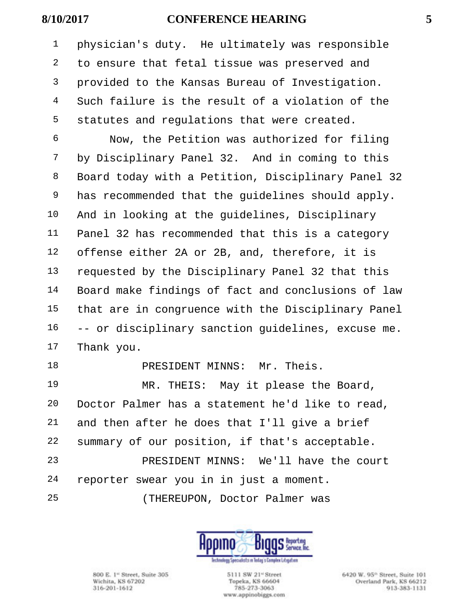physician's duty. He ultimately was responsible to ensure that fetal tissue was preserved and provided to the Kansas Bureau of Investigation. Such failure is the result of a violation of the statutes and regulations that were created.

 Now, the Petition was authorized for filing by Disciplinary Panel 32. And in coming to this Board today with a Petition, Disciplinary Panel 32 has recommended that the guidelines should apply. And in looking at the guidelines, Disciplinary Panel 32 has recommended that this is a category offense either 2A or 2B, and, therefore, it is requested by the Disciplinary Panel 32 that this Board make findings of fact and conclusions of law that are in congruence with the Disciplinary Panel -- or disciplinary sanction guidelines, excuse me. Thank you.

### 18 PRESIDENT MINNS: Mr. Theis.

 MR. THEIS: May it please the Board, Doctor Palmer has a statement he'd like to read, and then after he does that I'll give a brief summary of our position, if that's acceptable. PRESIDENT MINNS: We'll have the court reporter swear you in in just a moment. (THEREUPON, Doctor Palmer was



800 E. 1<sup>et</sup> Street, Suite 305 Wichita, KS 67202 316-201-1612

5111 SW 21<sup>e</sup> Street Topeka, KS 66604 785-273-3063 www.appinobiggs.com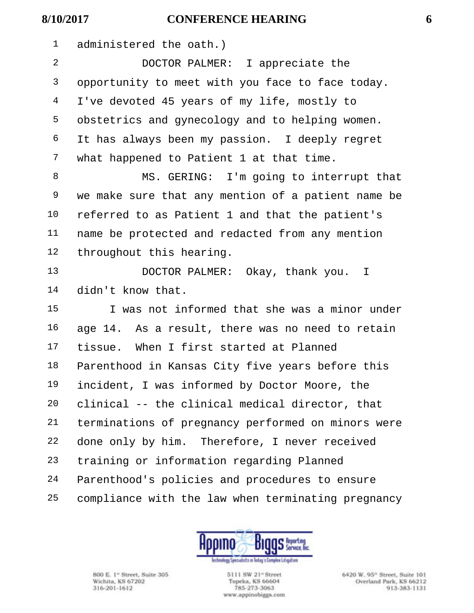administered the oath.)

 DOCTOR PALMER: I appreciate the 3 opportunity to meet with you face to face today. I've devoted 45 years of my life, mostly to obstetrics and gynecology and to helping women. It has always been my passion. I deeply regret what happened to Patient 1 at that time.

 MS. GERING: I'm going to interrupt that we make sure that any mention of a patient name be referred to as Patient 1 and that the patient's name be protected and redacted from any mention throughout this hearing.

 DOCTOR PALMER: Okay, thank you. I didn't know that.

 I was not informed that she was a minor under age 14. As a result, there was no need to retain tissue. When I first started at Planned Parenthood in Kansas City five years before this incident, I was informed by Doctor Moore, the clinical -- the clinical medical director, that terminations of pregnancy performed on minors were done only by him. Therefore, I never received training or information regarding Planned Parenthood's policies and procedures to ensure compliance with the law when terminating pregnancy



800 E. 1<sup>et</sup> Street, Suite 305 Wichita, KS 67202 316-201-1612

5111 SW 21<sup>e</sup> Street Topeka, KS 66604 785-273-3063 www.appinobiggs.com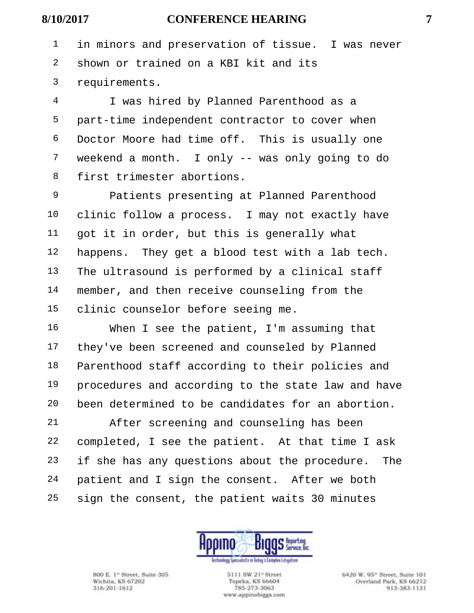in minors and preservation of tissue. I was never shown or trained on a KBI kit and its requirements.

 I was hired by Planned Parenthood as a part-time independent contractor to cover when Doctor Moore had time off. This is usually one weekend a month. I only -- was only going to do first trimester abortions.

 Patients presenting at Planned Parenthood clinic follow a process. I may not exactly have got it in order, but this is generally what happens. They get a blood test with a lab tech. The ultrasound is performed by a clinical staff member, and then receive counseling from the clinic counselor before seeing me.

 When I see the patient, I'm assuming that 17 they've been screened and counseled by Planned Parenthood staff according to their policies and procedures and according to the state law and have been determined to be candidates for an abortion.

 After screening and counseling has been completed, I see the patient. At that time I ask if she has any questions about the procedure. The patient and I sign the consent. After we both sign the consent, the patient waits 30 minutes



800 E. 1<sup>et</sup> Street, Suite 305 Wichita, KS 67202 316-201-1612

5111 SW 21<sup>e</sup> Street Topeka, KS 66604 785-273-3063 www.appinobiggs.com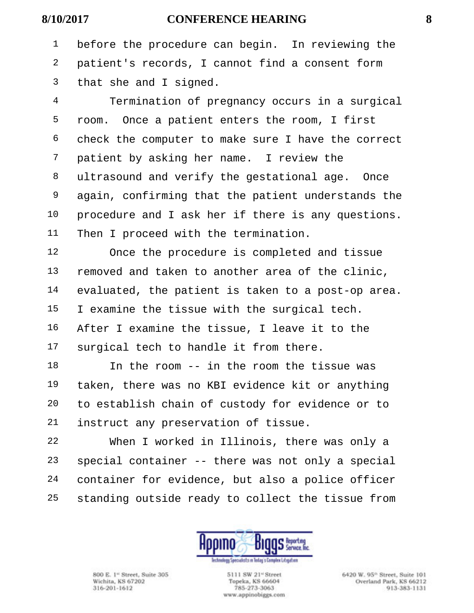before the procedure can begin. In reviewing the patient's records, I cannot find a consent form that she and I signed.

 Termination of pregnancy occurs in a surgical room. Once a patient enters the room, I first check the computer to make sure I have the correct patient by asking her name. I review the ultrasound and verify the gestational age. Once again, confirming that the patient understands the procedure and I ask her if there is any questions. Then I proceed with the termination.

 Once the procedure is completed and tissue removed and taken to another area of the clinic, evaluated, the patient is taken to a post-op area. I examine the tissue with the surgical tech. After I examine the tissue, I leave it to the surgical tech to handle it from there.

 In the room -- in the room the tissue was taken, there was no KBI evidence kit or anything to establish chain of custody for evidence or to instruct any preservation of tissue.

 When I worked in Illinois, there was only a special container -- there was not only a special container for evidence, but also a police officer standing outside ready to collect the tissue from



800 E. 1<sup>et</sup> Street, Suite 305 Wichita, KS 67202 316-201-1612

5111 SW 21<sup>e</sup> Street Topeka, KS 66604 785-273-3063 www.appinobiggs.com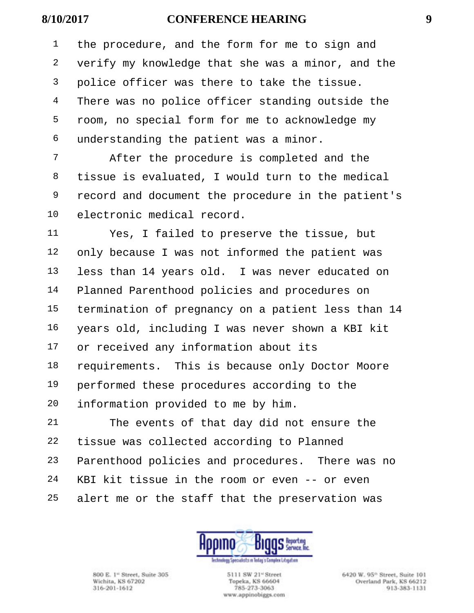the procedure, and the form for me to sign and verify my knowledge that she was a minor, and the police officer was there to take the tissue. 4 There was no police officer standing outside the room, no special form for me to acknowledge my understanding the patient was a minor.

 After the procedure is completed and the tissue is evaluated, I would turn to the medical record and document the procedure in the patient's electronic medical record.

 Yes, I failed to preserve the tissue, but only because I was not informed the patient was less than 14 years old. I was never educated on Planned Parenthood policies and procedures on termination of pregnancy on a patient less than 14 years old, including I was never shown a KBI kit or received any information about its requirements. This is because only Doctor Moore performed these procedures according to the information provided to me by him.

 The events of that day did not ensure the tissue was collected according to Planned Parenthood policies and procedures. There was no KBI kit tissue in the room or even -- or even alert me or the staff that the preservation was



800 E. 1<sup>et</sup> Street, Suite 305 Wichita, KS 67202 316-201-1612

5111 SW 21<sup>e</sup> Street Topeka, KS 66604 785-273-3063 www.appinobiggs.com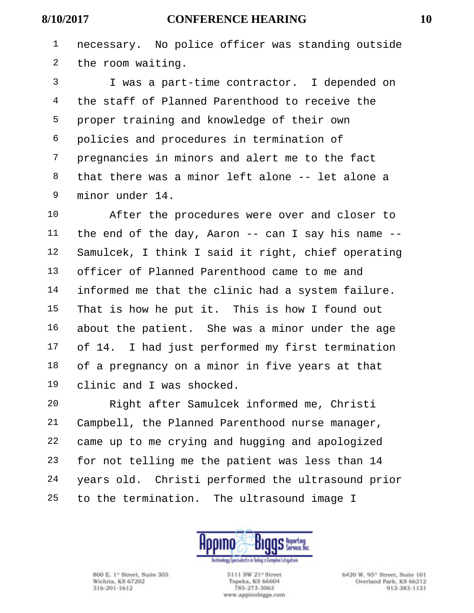necessary. No police officer was standing outside the room waiting.

 I was a part-time contractor. I depended on the staff of Planned Parenthood to receive the proper training and knowledge of their own policies and procedures in termination of pregnancies in minors and alert me to the fact that there was a minor left alone -- let alone a minor under 14.

 After the procedures were over and closer to the end of the day, Aaron -- can I say his name -- Samulcek, I think I said it right, chief operating officer of Planned Parenthood came to me and informed me that the clinic had a system failure. That is how he put it. This is how I found out about the patient. She was a minor under the age 17 of 14. I had just performed my first termination of a pregnancy on a minor in five years at that clinic and I was shocked.

 Right after Samulcek informed me, Christi Campbell, the Planned Parenthood nurse manager, came up to me crying and hugging and apologized for not telling me the patient was less than 14 years old. Christi performed the ultrasound prior to the termination. The ultrasound image I



800 E. 1<sup>et</sup> Street, Suite 305 Wichita, KS 67202 316-201-1612

5111 SW 21<sup>e</sup> Street Topeka, KS 66604 785-273-3063 www.appinobiggs.com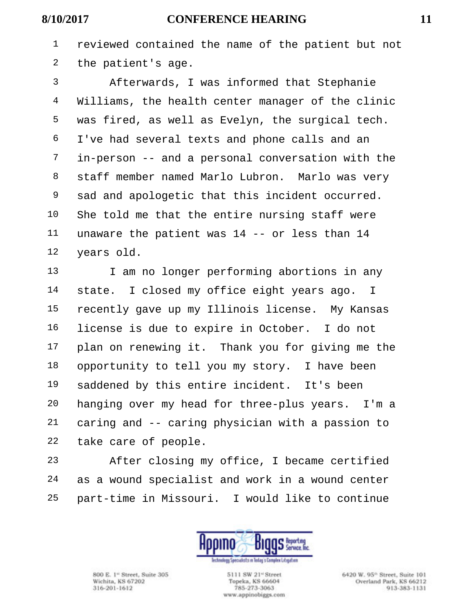reviewed contained the name of the patient but not the patient's age.

 Afterwards, I was informed that Stephanie Williams, the health center manager of the clinic was fired, as well as Evelyn, the surgical tech. I've had several texts and phone calls and an in-person -- and a personal conversation with the staff member named Marlo Lubron. Marlo was very sad and apologetic that this incident occurred. She told me that the entire nursing staff were unaware the patient was 14 -- or less than 14 years old.

13 I am no longer performing abortions in any state. I closed my office eight years ago. I recently gave up my Illinois license. My Kansas license is due to expire in October. I do not plan on renewing it. Thank you for giving me the opportunity to tell you my story. I have been saddened by this entire incident. It's been hanging over my head for three-plus years. I'm a caring and -- caring physician with a passion to take care of people.

 After closing my office, I became certified as a wound specialist and work in a wound center part-time in Missouri. I would like to continue



800 E. 1<sup>et</sup> Street, Suite 305 Wichita, KS 67202 316-201-1612

5111 SW 21<sup>e</sup> Street Topeka, KS 66604 785-273-3063 www.appinobiggs.com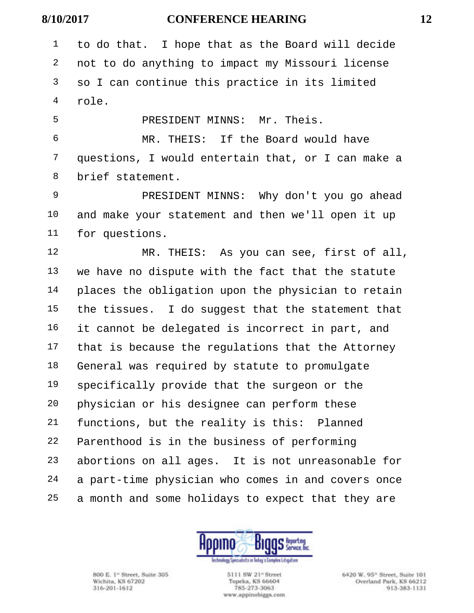to do that. I hope that as the Board will decide not to do anything to impact my Missouri license so I can continue this practice in its limited role.

 PRESIDENT MINNS: Mr. Theis. MR. THEIS: If the Board would have questions, I would entertain that, or I can make a brief statement.

 PRESIDENT MINNS: Why don't you go ahead and make your statement and then we'll open it up for questions.

 MR. THEIS: As you can see, first of all, we have no dispute with the fact that the statute places the obligation upon the physician to retain the tissues. I do suggest that the statement that it cannot be delegated is incorrect in part, and that is because the regulations that the Attorney General was required by statute to promulgate specifically provide that the surgeon or the physician or his designee can perform these functions, but the reality is this: Planned Parenthood is in the business of performing abortions on all ages. It is not unreasonable for a part-time physician who comes in and covers once a month and some holidays to expect that they are



800 E. 1<sup>et</sup> Street, Suite 305 Wichita, KS 67202 316-201-1612

5111 SW 21<sup>e</sup> Street Topeka, KS 66604 785-273-3063 www.appinobiggs.com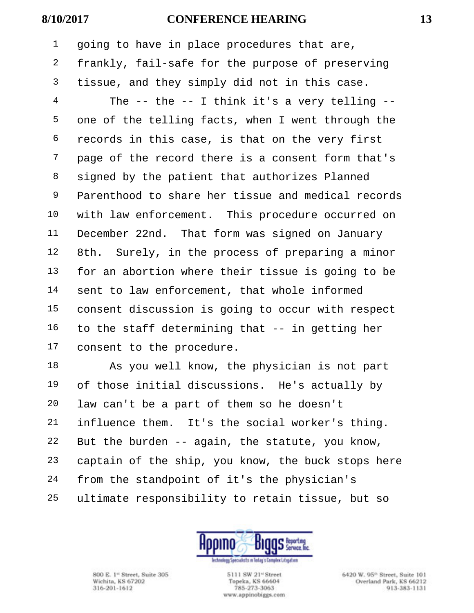going to have in place procedures that are, frankly, fail-safe for the purpose of preserving tissue, and they simply did not in this case.

 The -- the -- I think it's a very telling -- one of the telling facts, when I went through the records in this case, is that on the very first page of the record there is a consent form that's signed by the patient that authorizes Planned Parenthood to share her tissue and medical records with law enforcement. This procedure occurred on December 22nd. That form was signed on January 8th. Surely, in the process of preparing a minor for an abortion where their tissue is going to be sent to law enforcement, that whole informed consent discussion is going to occur with respect to the staff determining that -- in getting her consent to the procedure.

 As you well know, the physician is not part of those initial discussions. He's actually by law can't be a part of them so he doesn't influence them. It's the social worker's thing. But the burden -- again, the statute, you know, captain of the ship, you know, the buck stops here from the standpoint of it's the physician's ultimate responsibility to retain tissue, but so



800 E. 1<sup>et</sup> Street, Suite 305 Wichita, KS 67202 316-201-1612

5111 SW 21<sup>e</sup> Street Topeka, KS 66604 785-273-3063 www.appinobiggs.com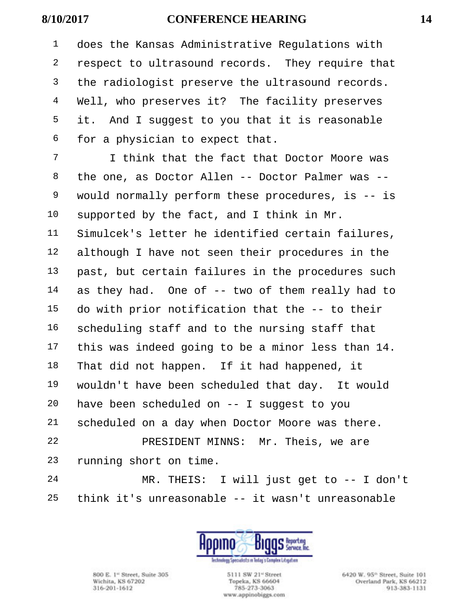does the Kansas Administrative Regulations with respect to ultrasound records. They require that 3 the radiologist preserve the ultrasound records. Well, who preserves it? The facility preserves it. And I suggest to you that it is reasonable for a physician to expect that.

 I think that the fact that Doctor Moore was the one, as Doctor Allen -- Doctor Palmer was -- would normally perform these procedures, is -- is supported by the fact, and I think in Mr. Simulcek's letter he identified certain failures, although I have not seen their procedures in the past, but certain failures in the procedures such as they had. One of -- two of them really had to do with prior notification that the -- to their scheduling staff and to the nursing staff that this was indeed going to be a minor less than 14. That did not happen. If it had happened, it wouldn't have been scheduled that day. It would have been scheduled on -- I suggest to you scheduled on a day when Doctor Moore was there. PRESIDENT MINNS: Mr. Theis, we are running short on time. MR. THEIS: I will just get to -- I don't

think it's unreasonable -- it wasn't unreasonable



800 E. 1<sup>et</sup> Street, Suite 305 Wichita, KS 67202 316-201-1612

5111 SW 21<sup>e</sup> Street Topeka, KS 66604 785-273-3063 www.appinobiggs.com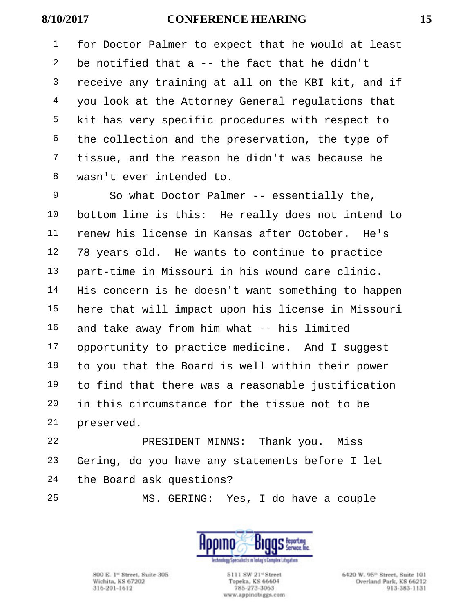for Doctor Palmer to expect that he would at least 2 be notified that a  $-$ - the fact that he didn't receive any training at all on the KBI kit, and if you look at the Attorney General regulations that kit has very specific procedures with respect to the collection and the preservation, the type of tissue, and the reason he didn't was because he wasn't ever intended to.

 So what Doctor Palmer -- essentially the, bottom line is this: He really does not intend to renew his license in Kansas after October. He's 78 years old. He wants to continue to practice part-time in Missouri in his wound care clinic. His concern is he doesn't want something to happen here that will impact upon his license in Missouri and take away from him what -- his limited 17 opportunity to practice medicine. And I suggest to you that the Board is well within their power to find that there was a reasonable justification in this circumstance for the tissue not to be preserved.

 PRESIDENT MINNS: Thank you. Miss Gering, do you have any statements before I let the Board ask questions?

MS. GERING: Yes, I do have a couple



800 E. 1<sup>et</sup> Street, Suite 305 Wichita, KS 67202 316-201-1612

5111 SW 21<sup>e</sup> Street Topeka, KS 66604 785-273-3063 www.appinobiggs.com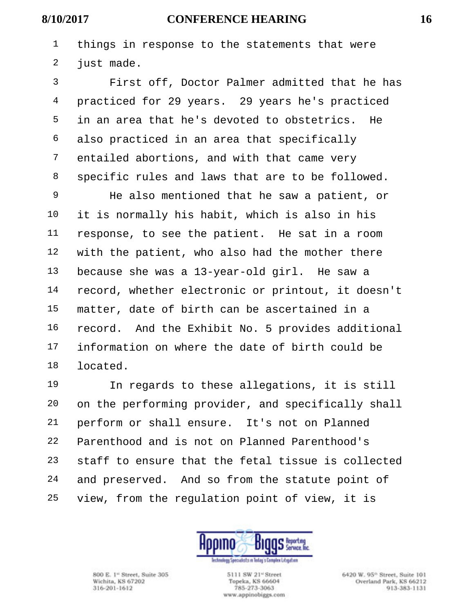things in response to the statements that were 2 just made.

 First off, Doctor Palmer admitted that he has practiced for 29 years. 29 years he's practiced in an area that he's devoted to obstetrics. He also practiced in an area that specifically entailed abortions, and with that came very specific rules and laws that are to be followed.

 He also mentioned that he saw a patient, or it is normally his habit, which is also in his response, to see the patient. He sat in a room with the patient, who also had the mother there because she was a 13-year-old girl. He saw a record, whether electronic or printout, it doesn't matter, date of birth can be ascertained in a record. And the Exhibit No. 5 provides additional information on where the date of birth could be located.

 In regards to these allegations, it is still on the performing provider, and specifically shall perform or shall ensure. It's not on Planned Parenthood and is not on Planned Parenthood's staff to ensure that the fetal tissue is collected and preserved. And so from the statute point of view, from the regulation point of view, it is



800 E. 1<sup>et</sup> Street, Suite 305 Wichita, KS 67202 316-201-1612

5111 SW 21<sup>e</sup> Street Topeka, KS 66604 785-273-3063 www.appinobiggs.com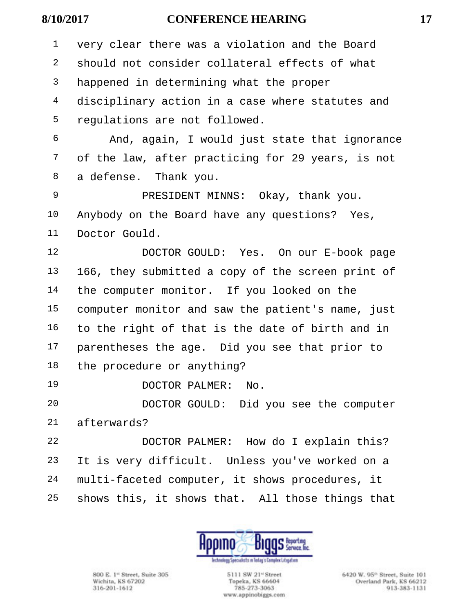very clear there was a violation and the Board should not consider collateral effects of what happened in determining what the proper disciplinary action in a case where statutes and regulations are not followed. And, again, I would just state that ignorance of the law, after practicing for 29 years, is not a defense. Thank you. PRESIDENT MINNS: Okay, thank you. Anybody on the Board have any questions? Yes, Doctor Gould. DOCTOR GOULD: Yes. On our E-book page 166, they submitted a copy of the screen print of the computer monitor. If you looked on the computer monitor and saw the patient's name, just to the right of that is the date of birth and in parentheses the age. Did you see that prior to the procedure or anything? DOCTOR PALMER: No. DOCTOR GOULD: Did you see the computer afterwards? DOCTOR PALMER: How do I explain this?

 It is very difficult. Unless you've worked on a multi-faceted computer, it shows procedures, it shows this, it shows that. All those things that



800 E. 1<sup>et</sup> Street, Suite 305 Wichita, KS 67202 316-201-1612

5111 SW 21<sup>et</sup> Street Topeka, KS 66604 785-273-3063 www.appinobiggs.com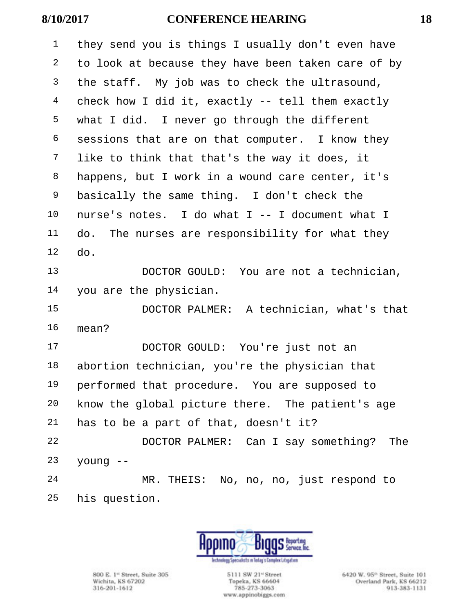they send you is things I usually don't even have to look at because they have been taken care of by <sup>3</sup> the staff. My job was to check the ultrasound, check how I did it, exactly -- tell them exactly what I did. I never go through the different sessions that are on that computer. I know they like to think that that's the way it does, it happens, but I work in a wound care center, it's basically the same thing. I don't check the nurse's notes. I do what I -- I document what I do. The nurses are responsibility for what they do. DOCTOR GOULD: You are not a technician,

you are the physician.

 DOCTOR PALMER: A technician, what's that mean?

 DOCTOR GOULD: You're just not an abortion technician, you're the physician that performed that procedure. You are supposed to know the global picture there. The patient's age has to be a part of that, doesn't it? DOCTOR PALMER: Can I say something? The young  $-$  MR. THEIS: No, no, no, just respond to his question.



800 E. 1<sup>et</sup> Street, Suite 305 Wichita, KS 67202 316-201-1612

5111 SW 21<sup>e</sup> Street Topeka, KS 66604 785-273-3063 www.appinobiggs.com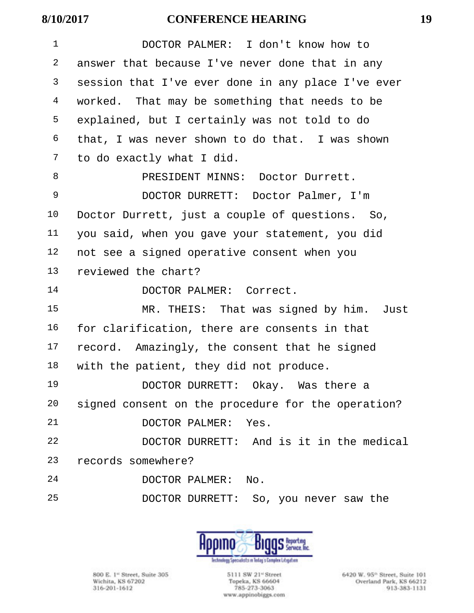| $\mathbf 1$ | DOCTOR PALMER: I don't know how to                 |
|-------------|----------------------------------------------------|
| 2           | answer that because I've never done that in any    |
| 3           | session that I've ever done in any place I've ever |
| 4           | worked. That may be something that needs to be     |
| 5           | explained, but I certainly was not told to do      |
| 6           | that, I was never shown to do that. I was shown    |
| 7           | to do exactly what I did.                          |
| 8           | PRESIDENT MINNS: Doctor Durrett.                   |
| 9           | DOCTOR DURRETT: Doctor Palmer, I'm                 |
| 10          | Doctor Durrett, just a couple of questions. So,    |
| 11          | you said, when you gave your statement, you did    |
| 12          | not see a signed operative consent when you        |
| 13          | reviewed the chart?                                |
| 14          | DOCTOR PALMER: Correct.                            |
| 15          | MR. THEIS: That was signed by him. Just            |
| 16          | for clarification, there are consents in that      |
| 17          | record. Amazingly, the consent that he signed      |
| 18          | with the patient, they did not produce.            |
| 19          | DOCTOR DURRETT: Okay. Was there a                  |
| 20          | signed consent on the procedure for the operation? |
| 21          | DOCTOR PALMER:<br>Yes.                             |
| 22          | DOCTOR DURRETT: And is it in the medical           |
| 23          | records somewhere?                                 |
| 24          | DOCTOR PALMER:<br>No.                              |
| 25          | DOCTOR DURRETT: So, you never saw the              |



800 E. 1<sup>\*</sup> Street, Suite 305<br>Wichita, KS 67202<br>316-201-1612

5111 SW 21<sup>-1</sup> Street Topeka, KS 66604 785-273-3063 www.appinobiggs.com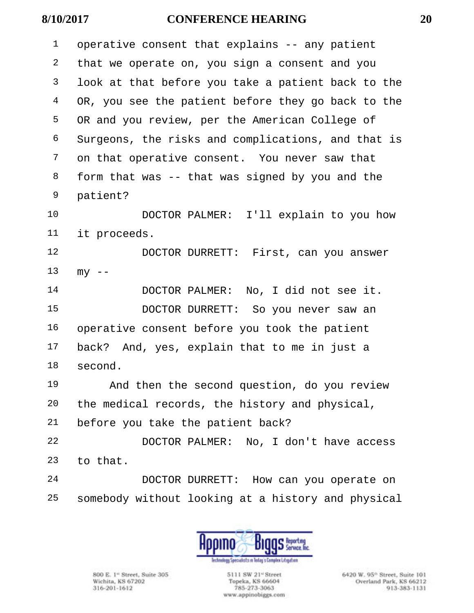| $\mathbf 1$ | operative consent that explains -- any patient     |
|-------------|----------------------------------------------------|
| 2           | that we operate on, you sign a consent and you     |
| 3           | look at that before you take a patient back to the |
| 4           | OR, you see the patient before they go back to the |
| 5           | OR and you review, per the American College of     |
| 6           | Surgeons, the risks and complications, and that is |
| 7           | on that operative consent. You never saw that      |
| 8           | form that was -- that was signed by you and the    |
| 9           | patient?                                           |
| 10          | DOCTOR PALMER: I'll explain to you how             |
| 11          | it proceeds.                                       |
| 12          | DOCTOR DURRETT: First, can you answer              |
| 13          | $my$ --                                            |
| 14          | DOCTOR PALMER: No, I did not see it.               |
| 15          | DOCTOR DURRETT: So you never saw an                |
| 16          | operative consent before you took the patient      |
| 17          | back? And, yes, explain that to me in just a       |
| 18          | second.                                            |
| 19          | And then the second question, do you review        |
| 20          | the medical records, the history and physical,     |
| 21          | before you take the patient back?                  |
| 22          | DOCTOR PALMER: No, I don't have access             |
| 23          | to that.                                           |
| 24          | DOCTOR DURRETT: How can you operate on             |
| 25          | somebody without looking at a history and physical |



800 E. 1<sup>\*</sup> Street, Suite 305<br>Wichita, KS 67202<br>316-201-1612

5111 SW 21<sup>-1</sup> Street Topeka, KS 66604 785-273-3063 www.appinobiggs.com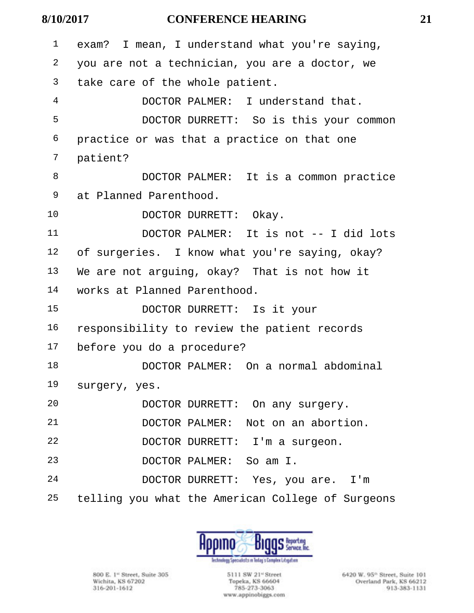| $\mathbf 1$ | exam? I mean, I understand what you're saying,    |
|-------------|---------------------------------------------------|
| 2           | you are not a technician, you are a doctor, we    |
| 3           | take care of the whole patient.                   |
| 4           | DOCTOR PALMER: I understand that.                 |
| 5           | DOCTOR DURRETT: So is this your common            |
| 6           | practice or was that a practice on that one       |
| 7           | patient?                                          |
| 8           | DOCTOR PALMER: It is a common practice            |
| 9           | at Planned Parenthood.                            |
| 10          | DOCTOR DURRETT: Okay.                             |
| 11          | DOCTOR PALMER: It is not -- I did lots            |
| 12          | of surgeries. I know what you're saying, okay?    |
| 13          | We are not arguing, okay? That is not how it      |
| 14          | works at Planned Parenthood.                      |
| 15          | DOCTOR DURRETT: Is it your                        |
| 16          | responsibility to review the patient records      |
| 17          | before you do a procedure?                        |
| 18          | DOCTOR PALMER: On a normal abdominal              |
| 19          | surgery, yes.                                     |
| 20          | DOCTOR DURRETT: On any surgery.                   |
| 21          | DOCTOR PALMER: Not on an abortion.                |
| 22          | DOCTOR DURRETT: I'm a surgeon.                    |
| 23          | DOCTOR PALMER: So am I.                           |
| 24          | DOCTOR DURRETT: Yes, you are. I'm                 |
| 25          | telling you what the American College of Surgeons |



800 E. 1<sup>\*</sup> Street, Suite 305<br>Wichita, KS 67202<br>316-201-1612

5111 SW 21<sup>-1</sup> Street Topeka, KS 66604 785-273-3063 www.appinobiggs.com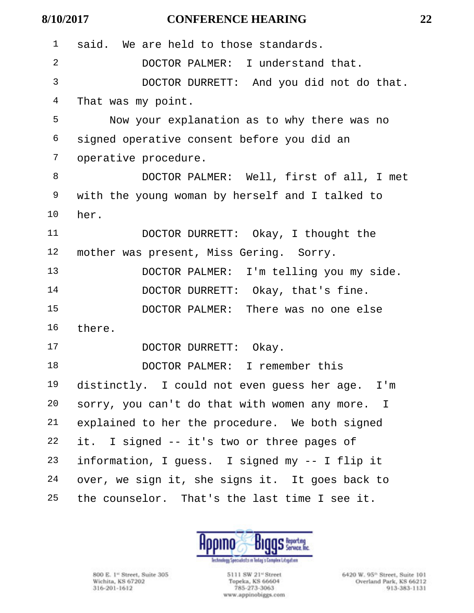| $\mathbf 1$ | said. We are held to those standards.           |
|-------------|-------------------------------------------------|
| 2           | DOCTOR PALMER: I understand that.               |
| 3           | DOCTOR DURRETT: And you did not do that.        |
| 4           | That was my point.                              |
| 5           | Now your explanation as to why there was no     |
| 6           | signed operative consent before you did an      |
| 7           | operative procedure.                            |
| 8           | DOCTOR PALMER: Well, first of all, I met        |
| 9           | with the young woman by herself and I talked to |
| 10          | her.                                            |
| 11          | DOCTOR DURRETT: Okay, I thought the             |
| 12          | mother was present, Miss Gering. Sorry.         |
| 13          | DOCTOR PALMER: I'm telling you my side.         |
| 14          | DOCTOR DURRETT: Okay, that's fine.              |
| 15          | DOCTOR PALMER: There was no one else            |
| 16          | there.                                          |
| 17          | DOCTOR DURRETT: Okay.                           |
| 18          | DOCTOR PALMER: I remember this                  |
| 19          | distinctly. I could not even guess her age. I'm |
| 20          | sorry, you can't do that with women any more. I |
| 21          | explained to her the procedure. We both signed  |
| 22          | it. I signed -- it's two or three pages of      |
| 23          | information, I guess. I signed my -- I flip it  |
| 24          | over, we sign it, she signs it. It goes back to |
| 25          | the counselor. That's the last time I see it.   |



800 E. 1<sup>\*</sup> Street, Suite 305<br>Wichita, KS 67202<br>316-201-1612

5111 SW 21<sup>-1</sup> Street Topeka, KS 66604<br>785-273-3063 www.appinobiggs.com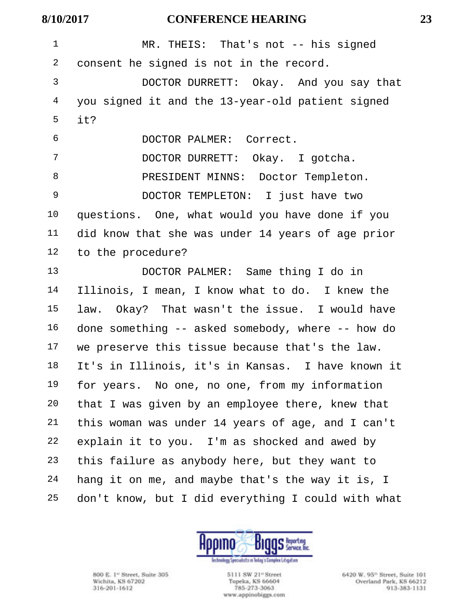| $\mathbf{1}$ | MR. THEIS: That's not $-$ - his signed             |
|--------------|----------------------------------------------------|
| 2            | consent he signed is not in the record.            |
| 3            | DOCTOR DURRETT: Okay. And you say that             |
| 4            | you signed it and the 13-year-old patient signed   |
| 5            | it?                                                |
| 6            | DOCTOR PALMER: Correct.                            |
| 7            | DOCTOR DURRETT: Okay. I gotcha.                    |
| 8            | PRESIDENT MINNS: Doctor Templeton.                 |
| 9            | DOCTOR TEMPLETON: I just have two                  |
| $10 \,$      | questions. One, what would you have done if you    |
| 11           | did know that she was under 14 years of age prior  |
| 12           | to the procedure?                                  |
| 13           | DOCTOR PALMER: Same thing I do in                  |
| 14           | Illinois, I mean, I know what to do. I knew the    |
| 15           | law. Okay? That wasn't the issue. I would have     |
| 16           | done something -- asked somebody, where -- how do  |
| 17           | we preserve this tissue because that's the law.    |
| 18           | It's in Illinois, it's in Kansas. I have known it  |
| 19           | for years. No one, no one, from my information     |
| 20           | that I was given by an employee there, knew that   |
| 21           | this woman was under 14 years of age, and I can't  |
| 22           | explain it to you. I'm as shocked and awed by      |
| 23           | this failure as anybody here, but they want to     |
| 24           | hang it on me, and maybe that's the way it is, I   |
| 25           | don't know, but I did everything I could with what |



800 E. 1<sup>\*</sup> Street, Suite 305<br>Wichita, KS 67202<br>316-201-1612

5111 SW 21" Street<br>Topeka, KS 66604 785-273-3063 www.appinobiggs.com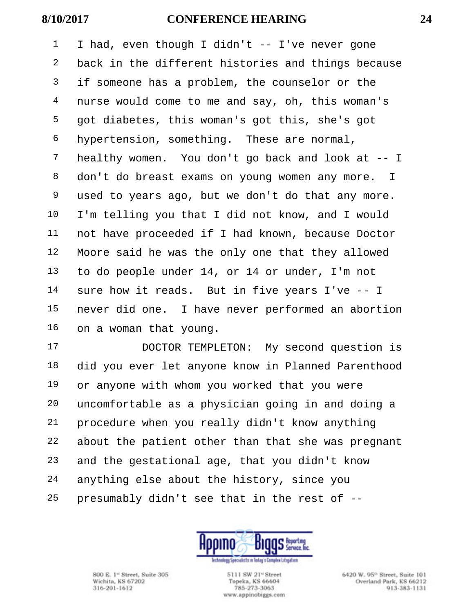I had, even though I didn't -- I've never gone back in the different histories and things because <sup>3</sup> if someone has a problem, the counselor or the nurse would come to me and say, oh, this woman's got diabetes, this woman's got this, she's got hypertension, something. These are normal, healthy women. You don't go back and look at -- I don't do breast exams on young women any more. I used to years ago, but we don't do that any more. I'm telling you that I did not know, and I would not have proceeded if I had known, because Doctor Moore said he was the only one that they allowed to do people under 14, or 14 or under, I'm not sure how it reads. But in five years I've -- I never did one. I have never performed an abortion on a woman that young.

 DOCTOR TEMPLETON: My second question is did you ever let anyone know in Planned Parenthood or anyone with whom you worked that you were uncomfortable as a physician going in and doing a procedure when you really didn't know anything about the patient other than that she was pregnant and the gestational age, that you didn't know anything else about the history, since you presumably didn't see that in the rest of --



800 E. 1<sup>et</sup> Street, Suite 305 Wichita, KS 67202 316-201-1612

5111 SW 21<sup>e</sup> Street Topeka, KS 66604 785-273-3063 www.appinobiggs.com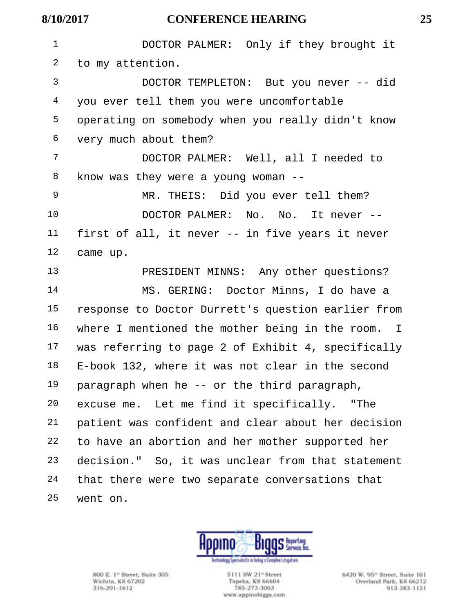**8/10/2017 CONFERENCE HEARING 25** DOCTOR PALMER: Only if they brought it to my attention. DOCTOR TEMPLETON: But you never -- did you ever tell them you were uncomfortable operating on somebody when you really didn't know very much about them? DOCTOR PALMER: Well, all I needed to know was they were a young woman -- MR. THEIS: Did you ever tell them? DOCTOR PALMER: No. No. It never -- first of all, it never -- in five years it never came up. PRESIDENT MINNS: Any other questions? MS. GERING: Doctor Minns, I do have a response to Doctor Durrett's question earlier from where I mentioned the mother being in the room. I was referring to page 2 of Exhibit 4, specifically

 E-book 132, where it was not clear in the second paragraph when he -- or the third paragraph, excuse me. Let me find it specifically. "The patient was confident and clear about her decision

 to have an abortion and her mother supported her decision." So, it was unclear from that statement that there were two separate conversations that went on.



800 E. 1<sup>et</sup> Street, Suite 305 Wichita, KS 67202 316-201-1612

5111 SW 21<sup>e</sup> Street Topeka, KS 66604 785-273-3063 www.appinobiggs.com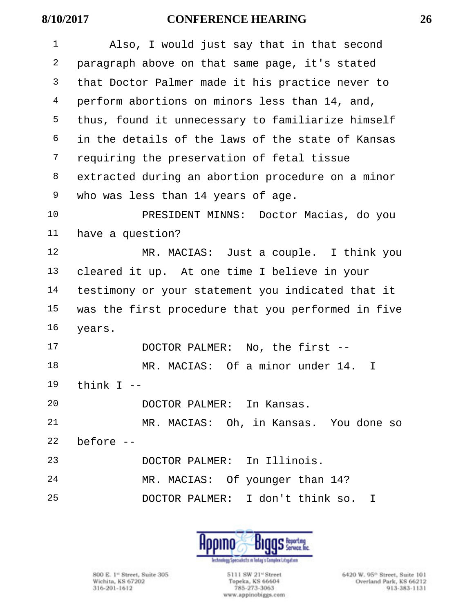| $\mathbf{1}$ | Also, I would just say that in that second         |
|--------------|----------------------------------------------------|
| 2            | paragraph above on that same page, it's stated     |
| 3            | that Doctor Palmer made it his practice never to   |
| 4            | perform abortions on minors less than 14, and,     |
| 5            | thus, found it unnecessary to familiarize himself  |
| 6            | in the details of the laws of the state of Kansas  |
| 7            | requiring the preservation of fetal tissue         |
| 8            | extracted during an abortion procedure on a minor  |
| 9            | who was less than 14 years of age.                 |
| 10           | PRESIDENT MINNS: Doctor Macias, do you             |
| 11           | have a question?                                   |
| 12           | MR. MACIAS: Just a couple. I think you             |
| 13           | cleared it up. At one time I believe in your       |
| 14           | testimony or your statement you indicated that it  |
| 15           | was the first procedure that you performed in five |
| 16           | years.                                             |
| 17           | No, the first $-$<br>DOCTOR PALMER:                |
| 18           | MR. MACIAS: Of a minor under 14.<br>I              |
| 19           | think I                                            |
| 20           | DOCTOR PALMER: In Kansas.                          |
| 21           | MR. MACIAS: Oh, in Kansas. You done so             |
| 22           | before --                                          |
| 23           | DOCTOR PALMER: In Illinois.                        |
| 24           | MR. MACIAS: Of younger than 14?                    |
| 25           | DOCTOR PALMER: I don't think so. I                 |
|              |                                                    |



800 E. 1<sup>\*</sup> Street, Suite 305<br>Wichita, KS 67202<br>316-201-1612

5111 SW 21<sup>-1</sup> Street Topeka, KS 66604 785-273-3063 www.appinobiggs.com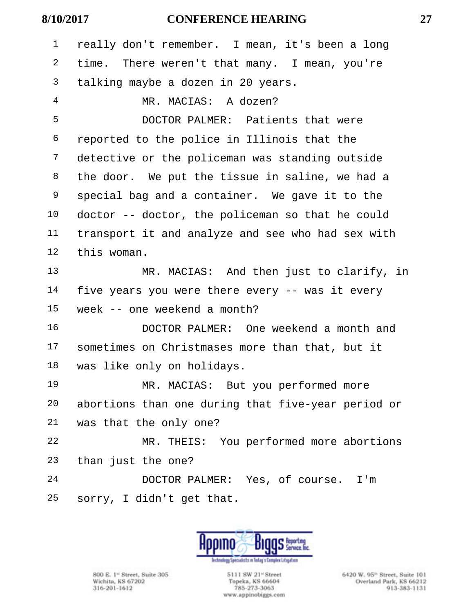| $\mathbf 1$    | really don't remember. I mean, it's been a long    |
|----------------|----------------------------------------------------|
| 2              | time. There weren't that many. I mean, you're      |
| $\mathsf{3}$   | talking maybe a dozen in 20 years.                 |
| $\overline{4}$ | MR. MACIAS: A dozen?                               |
| 5              | DOCTOR PALMER: Patients that were                  |
| 6              | reported to the police in Illinois that the        |
| 7              | detective or the policeman was standing outside    |
| 8              | the door. We put the tissue in saline, we had a    |
| 9              | special bag and a container. We gave it to the     |
| 10             | doctor -- doctor, the policeman so that he could   |
| 11             | transport it and analyze and see who had sex with  |
| 12             | this woman.                                        |
| 13             | MR. MACIAS: And then just to clarify, in           |
| 14             | five years you were there every -- was it every    |
| 15             | week -- one weekend a month?                       |
| 16             | DOCTOR PALMER: One weekend a month and             |
| 17             | sometimes on Christmases more than that, but it    |
| 18             | was like only on holidays.                         |
| 19             | MR. MACIAS: But you performed more                 |
| 20             | abortions than one during that five-year period or |
| 21             | was that the only one?                             |
| 22             | MR. THEIS: You performed more abortions            |
| 23             | than just the one?                                 |
| 24             | DOCTOR PALMER: Yes, of course. I'm                 |
| 25             | sorry, I didn't get that.                          |



800 E. 1<sup>\*</sup> Street, Suite 305<br>Wichita, KS 67202<br>316-201-1612

5111 SW 21" Street<br>Topeka, KS 66604<br>785-273-3063 www.appinobiggs.com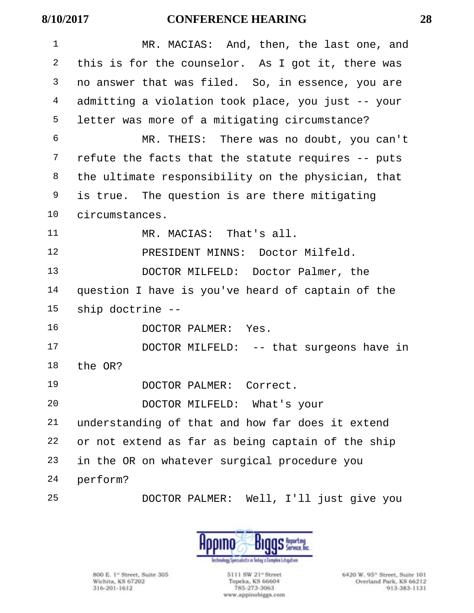| 1      | MR. MACIAS: And, then, the last one, and           |
|--------|----------------------------------------------------|
| 2      | this is for the counselor. As I got it, there was  |
| 3      | no answer that was filed. So, in essence, you are  |
| 4      | admitting a violation took place, you just -- your |
| 5      | letter was more of a mitigating circumstance?      |
| 6      | MR. THEIS: There was no doubt, you can't           |
| 7      | refute the facts that the statute requires -- puts |
| 8      | the ultimate responsibility on the physician, that |
| 9      | is true. The question is are there mitigating      |
| 10     | circumstances.                                     |
| 11     | MR. MACIAS: That's all.                            |
| 12     | PRESIDENT MINNS: Doctor Milfeld.                   |
| 13     | DOCTOR MILFELD: Doctor Palmer, the                 |
| 14     | question I have is you've heard of captain of the  |
| 15     | ship doctrine --                                   |
| 16     | DOCTOR PALMER: Yes.                                |
| 17     | DOCTOR MILFELD: -- that surgeons have in           |
| $18\,$ | the OR?                                            |
| 19     | DOCTOR PALMER: Correct.                            |
| 20     | DOCTOR MILFELD: What's your                        |
| 21     | understanding of that and how far does it extend   |
| 22     | or not extend as far as being captain of the ship  |
| 23     | in the OR on whatever surgical procedure you       |
| 24     | perform?                                           |
| 25     | DOCTOR PALMER: Well, I'll just give you            |



800 E. 1<sup>\*</sup> Street, Suite 305<br>Wichita, KS 67202<br>316-201-1612

5111 SW 21<sup>-1</sup> Street Topeka, KS 66604<br>785-273-3063 www.appinobiggs.com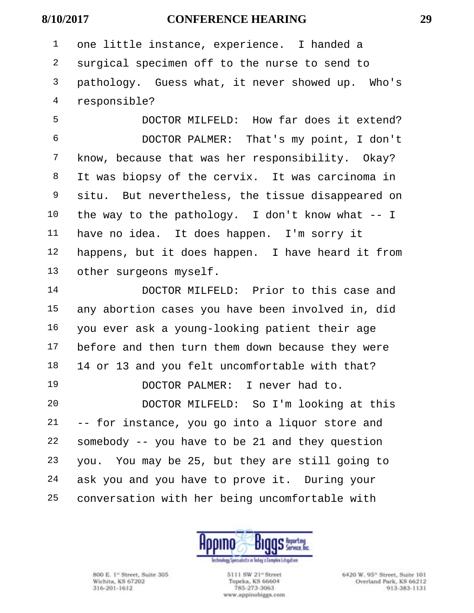one little instance, experience. I handed a surgical specimen off to the nurse to send to pathology. Guess what, it never showed up. Who's responsible?

 DOCTOR MILFELD: How far does it extend? DOCTOR PALMER: That's my point, I don't know, because that was her responsibility. Okay? It was biopsy of the cervix. It was carcinoma in situ. But nevertheless, the tissue disappeared on the way to the pathology. I don't know what -- I have no idea. It does happen. I'm sorry it happens, but it does happen. I have heard it from other surgeons myself.

 DOCTOR MILFELD: Prior to this case and any abortion cases you have been involved in, did you ever ask a young-looking patient their age before and then turn them down because they were 14 or 13 and you felt uncomfortable with that? DOCTOR PALMER: I never had to.

 DOCTOR MILFELD: So I'm looking at this -- for instance, you go into a liquor store and somebody -- you have to be 21 and they question you. You may be 25, but they are still going to ask you and you have to prove it. During your conversation with her being uncomfortable with



800 E. 1<sup>et</sup> Street, Suite 305 Wichita, KS 67202 316-201-1612

5111 SW 21<sup>e</sup> Street Topeka, KS 66604 785-273-3063 www.appinobiggs.com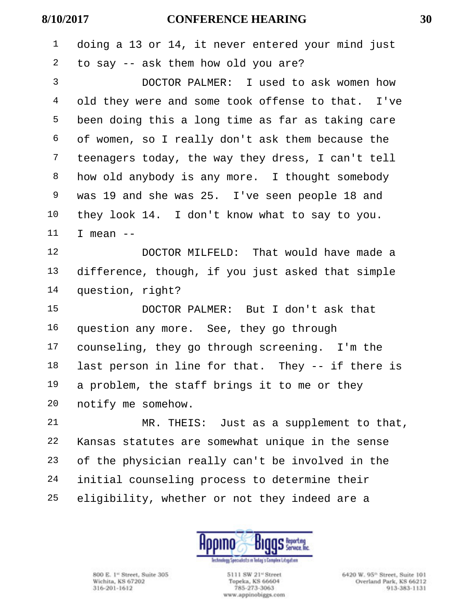|                              |   | i            |
|------------------------------|---|--------------|
| ×<br>٠<br>۰.<br>۰.<br>v<br>٠ | × | I<br>I<br>۰. |

| $\mathbf 1$    | doing a 13 or 14, it never entered your mind just |
|----------------|---------------------------------------------------|
| 2              | to say -- ask them how old you are?               |
| 3              | DOCTOR PALMER: I used to ask women how            |
| $\overline{4}$ | old they were and some took offense to that. I've |
| 5              | been doing this a long time as far as taking care |
| 6              | of women, so I really don't ask them because the  |
| 7              | teenagers today, the way they dress, I can't tell |
| 8              | how old anybody is any more. I thought somebody   |
| 9              | was 19 and she was 25. I've seen people 18 and    |
| 10             | they look 14. I don't know what to say to you.    |
| 11             | I mean $--$                                       |
| 12             | DOCTOR MILFELD: That would have made a            |
| 13             | difference, though, if you just asked that simple |
| 14             | question, right?                                  |
| 15             | DOCTOR PALMER: But I don't ask that               |
| 16             | question any more. See, they go through           |
| 17             | counseling, they go through screening. I'm the    |
| 18             | last person in line for that. They -- if there is |
| 19             | a problem, the staff brings it to me or they      |
| 20             | notify me somehow.                                |
| 21             | MR. THEIS: Just as a supplement to that,          |
| 22             | Kansas statutes are somewhat unique in the sense  |
| 23             | of the physician really can't be involved in the  |
| 24             | initial counseling process to determine their     |
| 25             | eligibility, whether or not they indeed are a     |



800 E. 1<sup>\*</sup> Street, Suite 305<br>Wichita, KS 67202<br>316-201-1612

5111 SW 21<sup>-1</sup> Street Topeka, KS 66604 785-273-3063 www.appinobiggs.com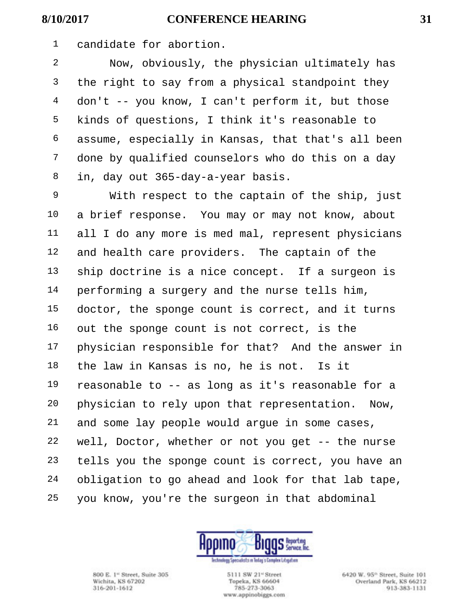candidate for abortion.

 Now, obviously, the physician ultimately has <sup>3</sup> the right to say from a physical standpoint they don't -- you know, I can't perform it, but those kinds of questions, I think it's reasonable to assume, especially in Kansas, that that's all been done by qualified counselors who do this on a day in, day out 365-day-a-year basis.

 With respect to the captain of the ship, just a brief response. You may or may not know, about all I do any more is med mal, represent physicians and health care providers. The captain of the ship doctrine is a nice concept. If a surgeon is performing a surgery and the nurse tells him, doctor, the sponge count is correct, and it turns out the sponge count is not correct, is the physician responsible for that? And the answer in the law in Kansas is no, he is not. Is it reasonable to -- as long as it's reasonable for a physician to rely upon that representation. Now, and some lay people would argue in some cases, well, Doctor, whether or not you get -- the nurse tells you the sponge count is correct, you have an obligation to go ahead and look for that lab tape, you know, you're the surgeon in that abdominal



800 E. 1<sup>et</sup> Street, Suite 305 Wichita, KS 67202 316-201-1612

5111 SW 21<sup>e</sup> Street Topeka, KS 66604 785-273-3063 www.appinobiggs.com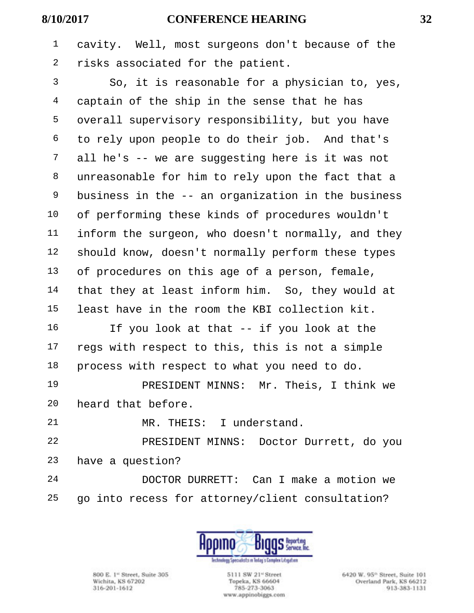cavity. Well, most surgeons don't because of the risks associated for the patient.

 So, it is reasonable for a physician to, yes, captain of the ship in the sense that he has overall supervisory responsibility, but you have to rely upon people to do their job. And that's all he's -- we are suggesting here is it was not unreasonable for him to rely upon the fact that a business in the -- an organization in the business of performing these kinds of procedures wouldn't inform the surgeon, who doesn't normally, and they should know, doesn't normally perform these types of procedures on this age of a person, female, that they at least inform him. So, they would at least have in the room the KBI collection kit.

 If you look at that -- if you look at the regs with respect to this, this is not a simple process with respect to what you need to do.

 PRESIDENT MINNS: Mr. Theis, I think we heard that before.

MR. THEIS: I understand.

 PRESIDENT MINNS: Doctor Durrett, do you have a question?

 DOCTOR DURRETT: Can I make a motion we go into recess for attorney/client consultation?



800 E. 1<sup>et</sup> Street, Suite 305 Wichita, KS 67202 316-201-1612

5111 SW 21<sup>e</sup> Street Topeka, KS 66604 785-273-3063 www.appinobiggs.com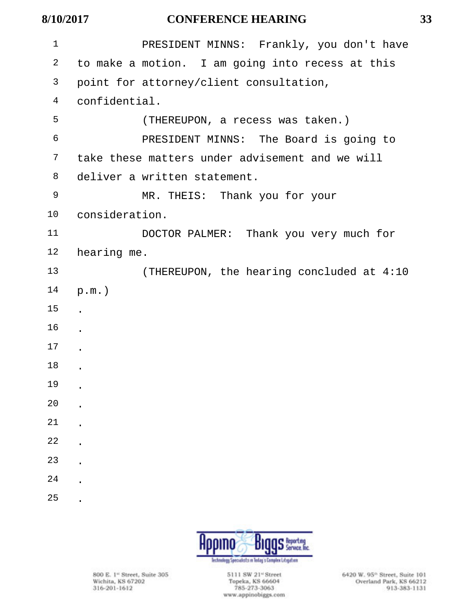| $\mathbf 1$ | PRESIDENT MINNS: Frankly, you don't have         |
|-------------|--------------------------------------------------|
| 2           | to make a motion. I am going into recess at this |
| 3           | point for attorney/client consultation,          |
| 4           | confidential.                                    |
| 5           | (THEREUPON, a recess was taken.)                 |
| 6           | PRESIDENT MINNS: The Board is going to           |
| 7           | take these matters under advisement and we will  |
| 8           | deliver a written statement.                     |
| 9           | MR. THEIS: Thank you for your                    |
| 10          | consideration.                                   |
| 11          | DOCTOR PALMER: Thank you very much for           |
| 12          | hearing me.                                      |
| 13          | (THEREUPON, the hearing concluded at 4:10        |
| 14          | $p.m.$ )                                         |
| 15          |                                                  |
| 16          |                                                  |
| 17          |                                                  |
| 18          |                                                  |
| 19          |                                                  |
| 20          |                                                  |
| 21          |                                                  |
| 22          |                                                  |
| 23          |                                                  |
| 24          |                                                  |
| 25          |                                                  |



800 E. 1<sup>\*</sup> Street, Suite 305<br>Wichita, KS 67202<br>316-201-1612

5111 SW 21" Street<br>Topeka, KS 66604 785-273-3063 www.appinobiggs.com